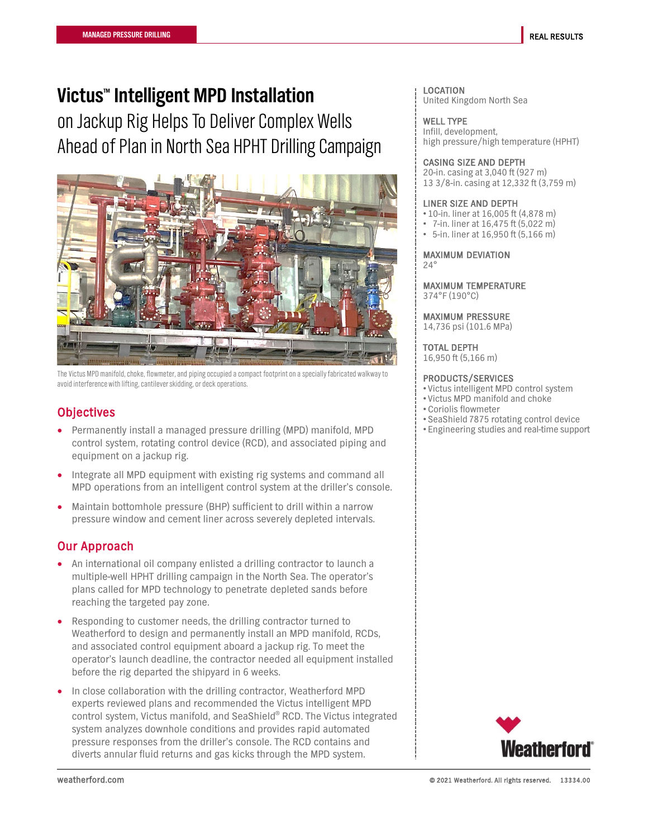# **Victus™ Intelligent MPD Installation**

on Jackup Rig Helps To Deliver Complex Wells Ahead of Plan in North Sea HPHT Drilling Campaign



The Victus MPD manifold, choke, flowmeter, and piping occupied a compact footprint on a specially fabricated walkway to avoid interference with lifting, cantilever skidding, or deck operations.

# **Objectives**

- Permanently install a managed pressure drilling (MPD) manifold, MPD control system, rotating control device (RCD), and associated piping and equipment on a jackup rig.
- Integrate all MPD equipment with existing rig systems and command all MPD operations from an intelligent control system at the driller's console.
- Maintain bottomhole pressure (BHP) sufficient to drill within a narrow pressure window and cement liner across severely depleted intervals.

# Our Approach

- An international oil company enlisted a drilling contractor to launch a multiple-well HPHT drilling campaign in the North Sea. The operator's plans called for MPD technology to penetrate depleted sands before reaching the targeted pay zone.
- Responding to customer needs, the drilling contractor turned to Weatherford to design and permanently install an MPD manifold, RCDs, and associated control equipment aboard a jackup rig. To meet the operator's launch deadline, the contractor needed all equipment installed before the rig departed the shipyard in 6 weeks.
- In close collaboration with the drilling contractor, Weatherford MPD experts reviewed plans and recommended the Victus intelligent MPD control system, Victus manifold, and SeaShield® RCD. The Victus integrated system analyzes downhole conditions and provides rapid automated pressure responses from the driller's console. The RCD contains and diverts annular fluid returns and gas kicks through the MPD system.

#### LOCATION United Kingdom North Sea

WELL TYPE Infill, development, high pressure/high temperature (HPHT)

## CASING SIZE AND DEPTH

20-in. casing at 3,040 ft (927 m) 13 3/8-in. casing at 12,332 ft (3,759 m)

#### LINER SIZE AND DEPTH

- 10-in. liner at 16,005 ft (4,878 m)
- 7-in. liner at 16,475 ft (5,022 m)
- 5-in. liner at 16,950 ft (5,166 m)

#### MAXIMUM DEVIATION  $24^\circ$

#### MAXIMUM TEMPERATURE 374°F (190°C)

# MAXIMUM PRESSURE

14,736 psi (101.6 MPa)

# TOTAL DEPTH

16,950 ft (5,166 m)

## PRODUCTS/SERVICES

- Victus intelligent MPD control system
- Victus MPD manifold and choke
- Coriolis flowmeter
- SeaShield 7875 rotating control device
- Engineering studies and real-time support